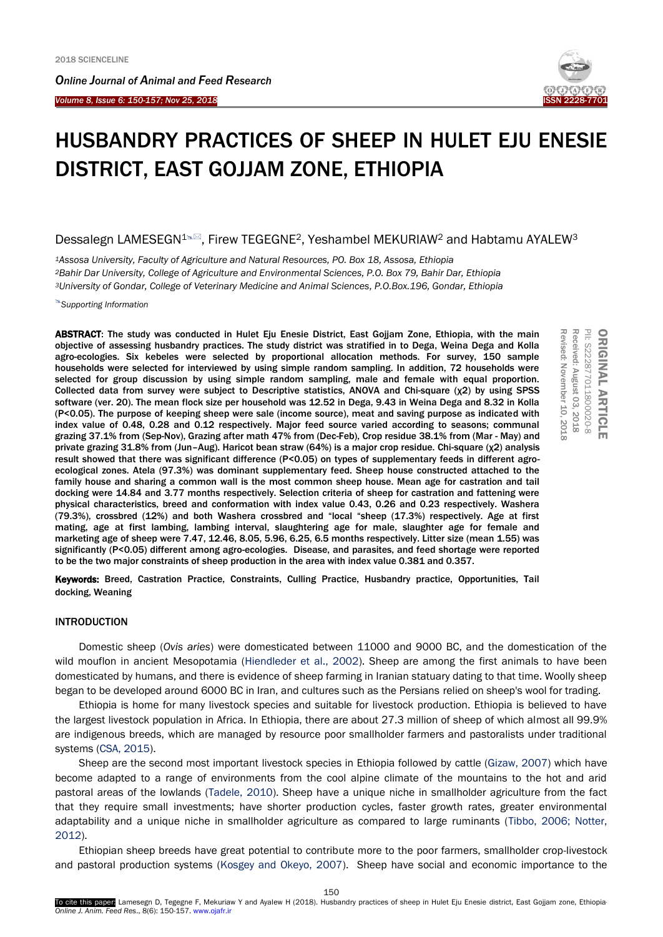*Online Journal of A[nimal and](http://www.ojafr.ir/main/) Feed Research*

*Volume 8, Issue 6: 150-157; Nov 25, 2018* I



# HUSBANDRY PRACTICES OF SHEEP IN HULET EJU ENESIE DISTRICT, EAST GOJJAM ZONE, ETHIOPIA

# Dessalegn LAMESEGN<sup>1N</sup><sub>2</sub>, Firew TEGEGNE<sup>2</sup>, Yeshambel MEKURIAW<sup>2</sup> and Habtamu AYALEW<sup>3</sup>

*<sup>1</sup>Assosa University, Faculty of Agriculture and Natural Resources, PO. Box 18, Assosa, Ethiopia <sup>2</sup>Bahir Dar University, College of Agriculture and Environmental Sciences, P.O. Box 79, Bahir Dar, Ethiopia <sup>3</sup>University of Gondar, College of Veterinary Medicine and Animal Sciences, P.O.Box.196, Gondar, Ethiopia*

*Supporting Information*

ABSTRACT: The study was conducted in Hulet Eju Enesie District, East Gojjam Zone, Ethiopia, with the main objective of assessing husbandry practices. The study district was stratified in to Dega, Weina Dega and Kolla agro-ecologies. Six kebeles were selected by proportional allocation methods. For survey, 150 sample households were selected for interviewed by using simple random sampling. In addition, 72 households were selected for group discussion by using simple random sampling, male and female with equal proportion. Collected data from survey were subject to Descriptive statistics, ANOVA and Chi-square (χ2) by using SPSS software (ver. 20). The mean flock size per household was 12.52 in Dega, 9.43 in Weina Dega and 8.32 in Kolla (P<0.05). The purpose of keeping sheep were sale (income source), meat and saving purpose as indicated with index value of 0.48, 0.28 and 0.12 respectively. Major feed source varied according to seasons; communal grazing 37.1% from (Sep-Nov), Grazing after math 47% from (Dec-Feb), Crop residue 38.1% from (Mar - May) and private grazing 31.8% from (Jun–Aug). Haricot bean straw (64%) is a major crop residue. Chi-square (χ2) analysis result showed that there was significant difference (P<0.05) on types of supplementary feeds in different agroecological zones. Atela (97.3%) was dominant supplementary feed. Sheep house constructed attached to the family house and sharing a common wall is the most common sheep house. Mean age for castration and tail docking were 14.84 and 3.77 months respectively. Selection criteria of sheep for castration and fattening were physical characteristics, breed and conformation with index value 0.43, 0.26 and 0.23 respectively. Washera (79.3%), crossbred (12%) and both Washera crossbred and "local "sheep (17.3%) respectively. Age at first mating, age at first lambing, lambing interval, slaughtering age for male, slaughter age for female and marketing age of sheep were 7.47, 12.46, 8.05, 5.96, 6.25, 6.5 months respectively. Litter size (mean 1.55) was significantly (P<0.05) different among agro-ecologies. Disease, and parasites, and feed shortage were reported to be the two major constraints of sheep production in the area with index value 0.381 and 0.357.

Revised: November 10, 2018 Received: August 03, 2018 PII: S222877011800020-8  $\circ$ Revised: November Received: August PII: S222877011800020-8 ORIGINAL ARTICLE **RIGINAL ARTICLE** 

Keywords: Breed, Castration Practice, Constraints, Culling Practice, Husbandry practice, Opportunities, Tail docking, Weaning

# INTRODUCTION

Domestic sheep (*Ovis aries*) were domesticated between 11000 and 9000 BC, and the domestication of the wild mouflon in ancient Mesopotamia (Hiendleder et al., 2002). Sheep are among the first animals to have been domesticated by humans, and there is evidence of sheep farming in Iranian statuary dating to that time. Woolly sheep began to be developed around 6000 BC in Iran, and cultures such as the Persians relied on sheep's wool for trading.

Ethiopia is home for many livestock species and suitable for livestock production. Ethiopia is believed to have the largest livestock population in Africa. In Ethiopia, there are about 27.3 million of sheep of which almost all 99.9% are indigenous breeds, which are managed by resource poor smallholder farmers and pastoralists under traditional systems (CSA, 2015).

Sheep are the second most important livestock species in Ethiopia followed by cattle (Gizaw, 2007) which have become adapted to a range of environments from the cool alpine climate of the mountains to the hot and arid pastoral areas of the lowlands (Tadele, 2010). Sheep have a unique niche in smallholder agriculture from the fact that they require small investments; have shorter production cycles, faster growth rates, greater environmental adaptability and a unique niche in smallholder agriculture as compared to large ruminants (Tibbo, 2006; Notter, 2012).

Ethiopian sheep breeds have great potential to contribute more to the poor farmers, smallholder crop-livestock and pastoral production systems (Kosgey and Okeyo, 2007). Sheep have social and economic importance to the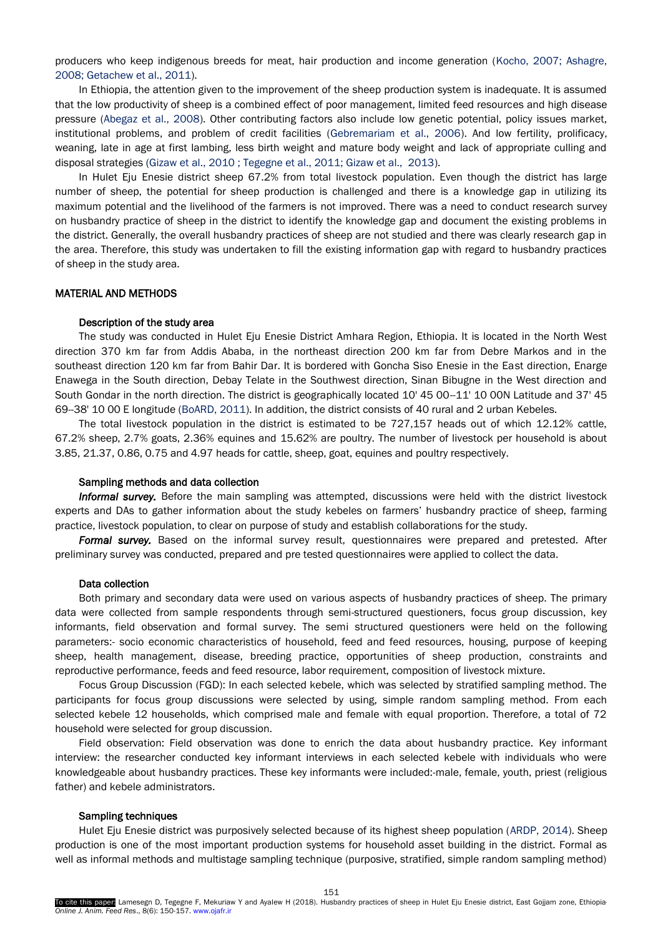producers who keep indigenous breeds for meat, hair production and income generation (Kocho, 2007; Ashagre, 2008; Getachew et al., 2011).

In Ethiopia, the attention given to the improvement of the sheep production system is inadequate. It is assumed that the low productivity of sheep is a combined effect of poor management, limited feed resources and high disease pressure (Abegaz et al., 2008). Other contributing factors also include low genetic potential, policy issues market, institutional problems, and problem of credit facilities (Gebremariam et al., 2006). And low fertility, prolificacy, weaning, late in age at first lambing, less birth weight and mature body weight and lack of appropriate culling and disposal strategies (Gizaw et al., 2010 ; Tegegne et al., 2011; Gizaw et al., 2013).

In Hulet Eju Enesie district sheep 67.2% from total livestock population. Even though the district has large number of sheep, the potential for sheep production is challenged and there is a knowledge gap in utilizing its maximum potential and the livelihood of the farmers is not improved. There was a need to conduct research survey on husbandry practice of sheep in the district to identify the knowledge gap and document the existing problems in the district. Generally, the overall husbandry practices of sheep are not studied and there was clearly research gap in the area. Therefore, this study was undertaken to fill the existing information gap with regard to husbandry practices of sheep in the study area.

#### MATERIAL AND METHODS

# Description of the study area

The study was conducted in Hulet Eju Enesie District Amhara Region, Ethiopia. It is located in the North West direction 370 km far from Addis Ababa, in the northeast direction 200 km far from Debre Markos and in the southeast direction 120 km far from Bahir Dar. It is bordered with Goncha Siso Enesie in the East direction, Enarge Enawega in the South direction, Debay Telate in the Southwest direction, Sinan Bibugne in the West direction and South Gondar in the north direction. The district is geographically located 10' 45 00-11' 10 00N Latitude and 37' 45 69--38' 10 00 E longitude (BoARD, 2011). In addition, the district consists of 40 rural and 2 urban Kebeles.

The total livestock population in the district is estimated to be 727,157 heads out of which 12.12% cattle, 67.2% sheep, 2.7% goats, 2.36% equines and 15.62% are poultry. The number of livestock per household is about 3.85, 21.37, 0.86, 0.75 and 4.97 heads for cattle, sheep, goat, equines and poultry respectively.

#### Sampling methods and data collection

*Informal survey.* Before the main sampling was attempted, discussions were held with the district livestock experts and DAs to gather information about the study kebeles on farmers' husbandry practice of sheep, farming practice, livestock population, to clear on purpose of study and establish collaborations for the study.

*Formal survey.* Based on the informal survey result, questionnaires were prepared and pretested. After preliminary survey was conducted, prepared and pre tested questionnaires were applied to collect the data.

#### Data collection

Both primary and secondary data were used on various aspects of husbandry practices of sheep. The primary data were collected from sample respondents through semi-structured questioners, focus group discussion, key informants, field observation and formal survey. The semi structured questioners were held on the following parameters:- socio economic characteristics of household, feed and feed resources, housing, purpose of keeping sheep, health management, disease, breeding practice, opportunities of sheep production, constraints and reproductive performance, feeds and feed resource, labor requirement, composition of livestock mixture.

Focus Group Discussion (FGD): In each selected kebele, which was selected by stratified sampling method. The participants for focus group discussions were selected by using, simple random sampling method. From each selected kebele 12 households, which comprised male and female with equal proportion. Therefore, a total of 72 household were selected for group discussion.

Field observation: Field observation was done to enrich the data about husbandry practice. Key informant interview: the researcher conducted key informant interviews in each selected kebele with individuals who were knowledgeable about husbandry practices. These key informants were included:-male, female, youth, priest (religious father) and kebele administrators.

#### Sampling techniques

Hulet Eju Enesie district was purposively selected because of its highest sheep population (ARDP, 2014). Sheep production is one of the most important production systems for household asset building in the district. Formal as well as informal methods and multistage sampling technique (purposive, stratified, simple random sampling method)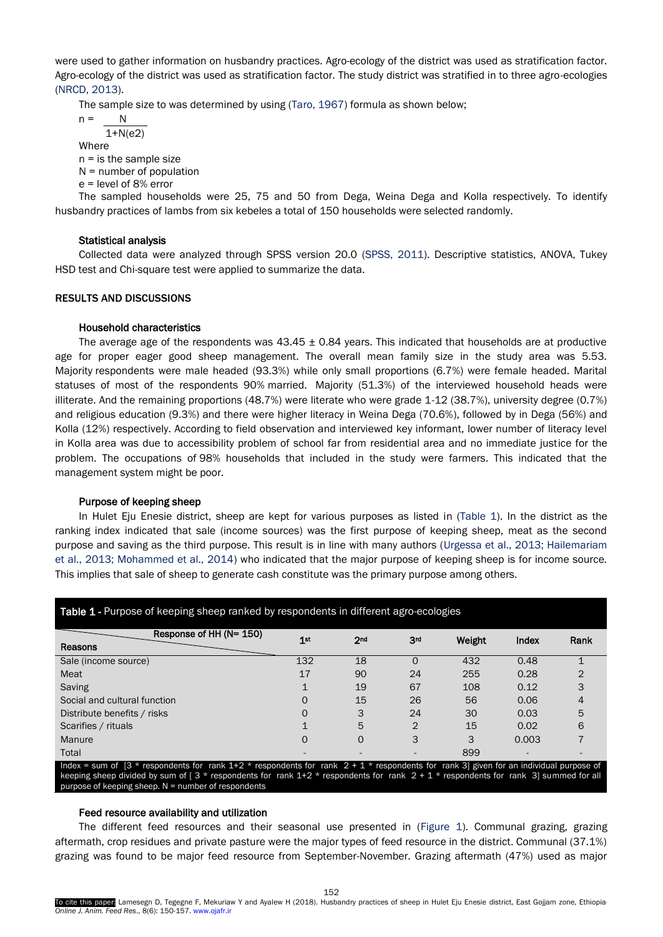were used to gather information on husbandry practices. Agro-ecology of the district was used as stratification factor. Agro-ecology of the district was used as stratification factor. The study district was stratified in to three agro-ecologies (NRCD, 2013).

The sample size to was determined by using (Taro, 1967) formula as shown below;

 $n = N$ 1+N(e2)

Where

 $n =$  is the sample size

- N = number of population
- e = level of 8% error

The sampled households were 25, 75 and 50 from Dega, Weina Dega and Kolla respectively. To identify husbandry practices of lambs from six kebeles a total of 150 households were selected randomly.

# Statistical analysis

Collected data were analyzed through SPSS version 20.0 (SPSS, 2011). Descriptive statistics, ANOVA, Tukey HSD test and Chi-square test were applied to summarize the data.

# RESULTS AND DISCUSSIONS

# Household characteristics

The average age of the respondents was  $43.45 \pm 0.84$  years. This indicated that households are at productive age for proper eager good sheep management. The overall mean family size in the study area was 5.53. Majority respondents were male headed (93.3%) while only small proportions (6.7%) were female headed. Marital statuses of most of the respondents 90% married. Majority (51.3%) of the interviewed household heads were illiterate. And the remaining proportions (48.7%) were literate who were grade 1-12 (38.7%), university degree (0.7%) and religious education (9.3%) and there were higher literacy in Weina Dega (70.6%), followed by in Dega (56%) and Kolla (12%) respectively. According to field observation and interviewed key informant, lower number of literacy level in Kolla area was due to accessibility problem of school far from residential area and no immediate justice for the problem. The occupations of 98% households that included in the study were farmers. This indicated that the management system might be poor.

# Purpose of keeping sheep

In Hulet Eju Enesie district, sheep are kept for various purposes as listed in (Table 1). In the district as the ranking index indicated that sale (income sources) was the first purpose of keeping sheep, meat as the second purpose and saving as the third purpose. This result is in line with many authors (Urgessa et al., 2013; Hailemariam et al., 2013; Mohammed et al., 2014) who indicated that the major purpose of keeping sheep is for income source. This implies that sale of sheep to generate cash constitute was the primary purpose among others.

| Response of HH (N= 150)                                                                                                                                                                                                                                                                      |        |                 |                 |        |       |      |  |
|----------------------------------------------------------------------------------------------------------------------------------------------------------------------------------------------------------------------------------------------------------------------------------------------|--------|-----------------|-----------------|--------|-------|------|--|
| Reasons                                                                                                                                                                                                                                                                                      | $1$ st | 2 <sub>nd</sub> | 3 <sup>rd</sup> | Weight | Index | Rank |  |
| Sale (income source)                                                                                                                                                                                                                                                                         | 132    | 18              | $\Omega$        | 432    | 0.48  |      |  |
| Meat                                                                                                                                                                                                                                                                                         | 17     | 90              | 24              | 255    | 0.28  |      |  |
| Saving                                                                                                                                                                                                                                                                                       |        | 19              | 67              | 108    | 0.12  |      |  |
| Social and cultural function                                                                                                                                                                                                                                                                 |        | 15              | 26              | 56     | 0.06  |      |  |
| Distribute benefits / risks                                                                                                                                                                                                                                                                  |        | 3               | 24              | 30     | 0.03  | 5    |  |
| Scarifies / rituals                                                                                                                                                                                                                                                                          |        | 5               | 2               | 15     | 0.02  | 6    |  |
| Manure                                                                                                                                                                                                                                                                                       |        |                 |                 | 3      | 0.003 |      |  |
| Total                                                                                                                                                                                                                                                                                        |        |                 |                 | 899    |       |      |  |
| Index = sum of $[3 *$ respondents for rank 1+2 * respondents for rank $2 + 1 *$ respondents for rank 3] given for an individual purpose of<br>keeping sheep divided by sum of $\lceil 3 *$ respondents for rank $1+2 *$ respondents for rank $2 + 1 *$ respondents for rank 3 summed for all |        |                 |                 |        |       |      |  |

# Table 1 - Purpose of keeping sheep ranked by respondents in different agro-ecologies

# Feed resource availability and utilization

purpose of keeping sheep.  $N =$  number of respondents

The different feed resources and their seasonal use presented in (Figure 1). Communal grazing, grazing aftermath, crop residues and private pasture were the major types of feed resource in the district. Communal (37.1%) grazing was found to be major feed resource from September-November. Grazing aftermath (47%) used as major

152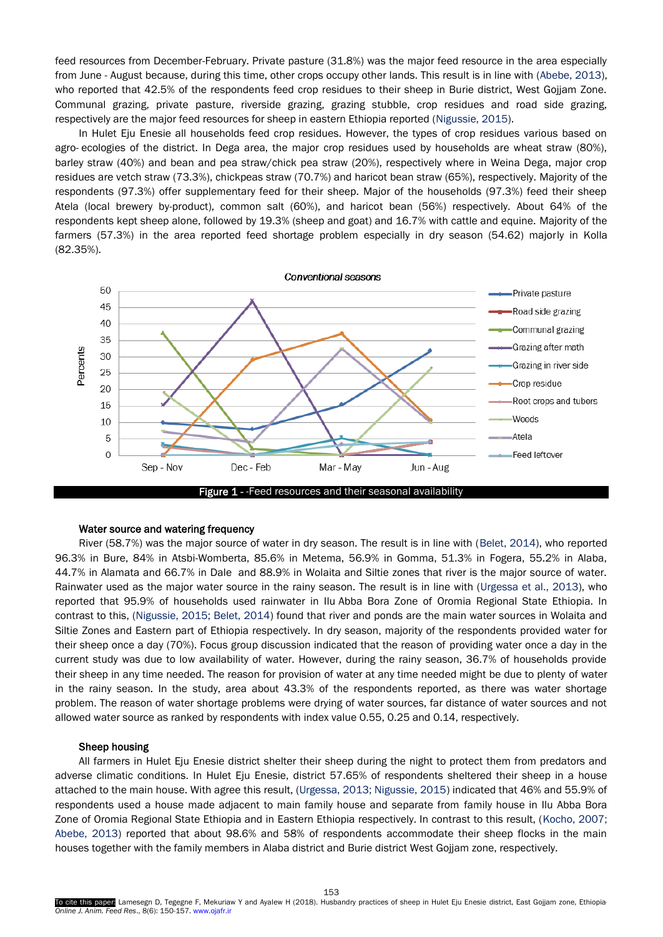feed resources from December-February. Private pasture (31.8%) was the major feed resource in the area especially from June - August because, during this time, other crops occupy other lands. This result is in line with (Abebe, 2013), who reported that 42.5% of the respondents feed crop residues to their sheep in Burie district, West Gojjam Zone. Communal grazing, private pasture, riverside grazing, grazing stubble, crop residues and road side grazing, respectively are the major feed resources for sheep in eastern Ethiopia reported (Nigussie, 2015).

In Hulet Eju Enesie all households feed crop residues. However, the types of crop residues various based on agro- ecologies of the district. In Dega area, the major crop residues used by households are wheat straw (80%), barley straw (40%) and bean and pea straw/chick pea straw (20%), respectively where in Weina Dega, major crop residues are vetch straw (73.3%), chickpeas straw (70.7%) and haricot bean straw (65%), respectively. Majority of the respondents (97.3%) offer supplementary feed for their sheep. Major of the households (97.3%) feed their sheep Atela (local brewery by-product), common salt (60%), and haricot bean (56%) respectively. About 64% of the respondents kept sheep alone, followed by 19.3% (sheep and goat) and 16.7% with cattle and equine. Majority of the farmers (57.3%) in the area reported feed shortage problem especially in dry season (54.62) majorly in Kolla (82.35%).



#### Water source and watering frequency

River (58.7%) was the major source of water in dry season. The result is in line with (Belet, 2014), who reported 96.3% in Bure, 84% in Atsbi-Womberta, 85.6% in Metema, 56.9% in Gomma, 51.3% in Fogera, 55.2% in Alaba, 44.7% in Alamata and 66.7% in Dale and 88.9% in Wolaita and Siltie zones that river is the major source of water. Rainwater used as the major water source in the rainy season. The result is in line with (Urgessa et al., 2013), who reported that 95.9% of households used rainwater in Ilu Abba Bora Zone of Oromia Regional State Ethiopia. In contrast to this, (Nigussie, 2015; Belet, 2014) found that river and ponds are the main water sources in Wolaita and Siltie Zones and Eastern part of Ethiopia respectively. In dry season, majority of the respondents provided water for their sheep once a day (70%). Focus group discussion indicated that the reason of providing water once a day in the current study was due to low availability of water. However, during the rainy season, 36.7% of households provide their sheep in any time needed. The reason for provision of water at any time needed might be due to plenty of water in the rainy season. In the study, area about 43.3% of the respondents reported, as there was water shortage problem. The reason of water shortage problems were drying of water sources, far distance of water sources and not allowed water source as ranked by respondents with index value 0.55, 0.25 and 0.14, respectively.

### Sheep housing

All farmers in Hulet Eju Enesie district shelter their sheep during the night to protect them from predators and adverse climatic conditions. In Hulet Eju Enesie, district 57.65% of respondents sheltered their sheep in a house attached to the main house. With agree this result, (Urgessa, 2013; Nigussie, 2015) indicated that 46% and 55.9% of respondents used a house made adjacent to main family house and separate from family house in Ilu Abba Bora Zone of Oromia Regional State Ethiopia and in Eastern Ethiopia respectively. In contrast to this result, (Kocho, 2007; Abebe, 2013) reported that about 98.6% and 58% of respondents accommodate their sheep flocks in the main houses together with the family members in Alaba district and Burie district West Gojjam zone, respectively.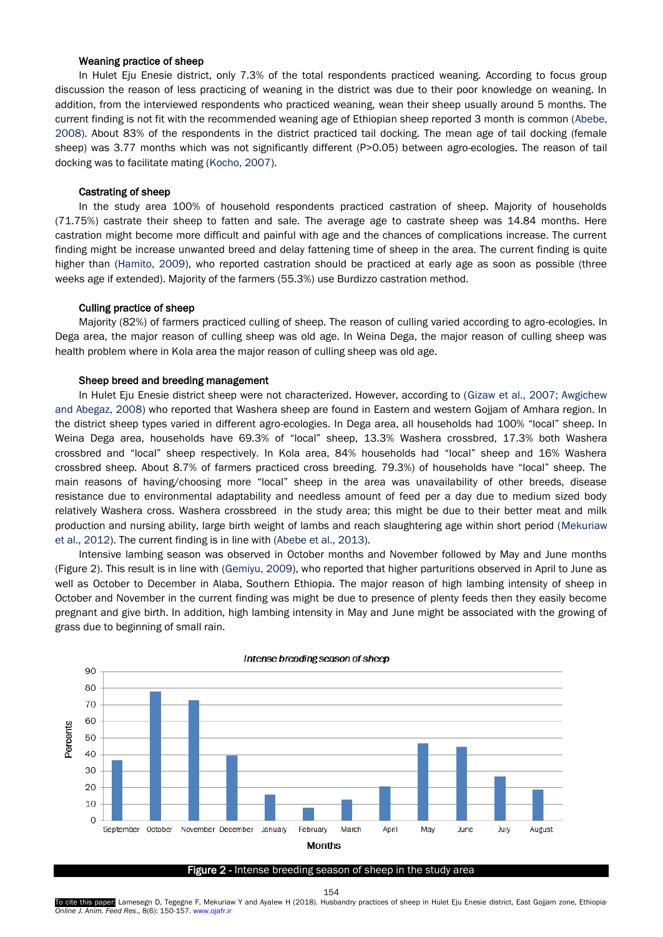#### Weaning practice of sheep

In Hulet Eju Enesie district, only 7.3% of the total respondents practiced weaning. According to focus group discussion the reason of less practicing of weaning in the district was due to their poor knowledge on weaning. In addition, from the interviewed respondents who practiced weaning, wean their sheep usually around 5 months. The current finding is not fit with the recommended weaning age of Ethiopian sheep reported 3 month is common (Abebe, 2008). About 83% of the respondents in the district practiced tail docking. The mean age of tail docking (female sheep) was 3.77 months which was not significantly different (P>0.05) between agro-ecologies. The reason of tail docking was to facilitate mating (Kocho, 2007).

#### Castrating of sheep

In the study area 100% of household respondents practiced castration of sheep. Majority of households (71.75%) castrate their sheep to fatten and sale. The average age to castrate sheep was 14.84 months. Here castration might become more difficult and painful with age and the chances of complications increase. The current finding might be increase unwanted breed and delay fattening time of sheep in the area. The current finding is quite higher than (Hamito, 2009), who reported castration should be practiced at early age as soon as possible (three weeks age if extended). Majority of the farmers (55.3%) use Burdizzo castration method.

#### Culling practice of sheep

Majority (82%) of farmers practiced culling of sheep. The reason of culling varied according to agro-ecologies. In Dega area, the major reason of culling sheep was old age. In Weina Dega, the major reason of culling sheep was health problem where in Kola area the major reason of culling sheep was old age.

#### Sheep breed and breeding management

In Hulet Eju Enesie district sheep were not characterized. However, according to (Gizaw et al., 2007; Awgichew and Abegaz, 2008) who reported that Washera sheep are found in Eastern and western Gojjam of Amhara region. In the district sheep types varied in different agro-ecologies. In Dega area, all households had 100% "local" sheep. In Weina Dega area, households have 69.3% of "local" sheep, 13.3% Washera crossbred, 17.3% both Washera crossbred and "local" sheep respectively. In Kola area, 84% households had "local" sheep and 16% Washera crossbred sheep. About 8.7% of farmers practiced cross breeding. 79.3%) of households have "local" sheep. The main reasons of having/choosing more "local" sheep in the area was unavailability of other breeds, disease resistance due to environmental adaptability and needless amount of feed per a day due to medium sized body relatively Washera cross. Washera crossbreed in the study area; this might be due to their better meat and milk production and nursing ability, large birth weight of lambs and reach slaughtering age within short period (Mekuriaw et al., 2012). The current finding is in line with (Abebe et al., 2013).

Intensive lambing season was observed in October months and November followed by May and June months (Figure 2). This result is in line with (Gemiyu, 2009), who reported that higher parturitions observed in April to June as well as October to December in Alaba, Southern Ethiopia. The major reason of high lambing intensity of sheep in October and November in the current finding was might be due to presence of plenty feeds then they easily become pregnant and give birth. In addition, high lambing intensity in May and June might be associated with the growing of grass due to beginning of small rain.



#### Intense breading season of sheep

#### Figure 2 - Intense breeding season of sheep in the study area

To cite this paper: Lamesegn D, Tegegne F, Mekuriaw Y and Ayalew H (2018). Husbandry practices of sheep in Hulet Eju Enesie district, East Gojjam zone, Ethiopia *Online J. Anim. Feed Res*., 8(6): 150-157. www.ojafr.ir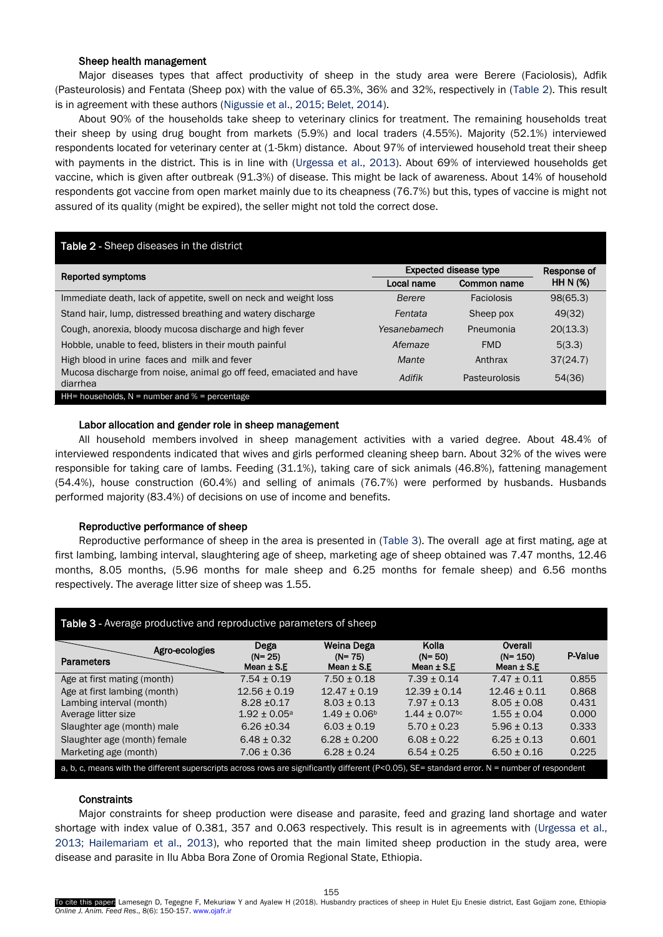#### Sheep health management

Major diseases types that affect productivity of sheep in the study area were Berere (Faciolosis), Adfik (Pasteurolosis) and Fentata (Sheep pox) with the value of 65.3%, 36% and 32%, respectively in (Table 2). This result is in agreement with these authors (Nigussie et al., 2015; Belet, 2014).

About 90% of the households take sheep to veterinary clinics for treatment. The remaining households treat their sheep by using drug bought from markets (5.9%) and local traders (4.55%). Majority (52.1%) interviewed respondents located for veterinary center at (1-5km) distance. About 97% of interviewed household treat their sheep with payments in the district. This is in line with (Urgessa et al., 2013). About 69% of interviewed households get vaccine, which is given after outbreak (91.3%) of disease. This might be lack of awareness. About 14% of household respondents got vaccine from open market mainly due to its cheapness (76.7%) but this, types of vaccine is might not assured of its quality (might be expired), the seller might not told the correct dose.

# Table 2 - Sheep diseases in the district

|                                                                                 | <b>Expected disease type</b> | Response of   |                 |  |
|---------------------------------------------------------------------------------|------------------------------|---------------|-----------------|--|
| Reported symptoms                                                               | Local name                   | Common name   | <b>HH N (%)</b> |  |
| Immediate death, lack of appetite, swell on neck and weight loss                | Berere                       | Faciolosis    | 98(65.3)        |  |
| Stand hair, lump, distressed breathing and watery discharge                     | Fentata                      | Sheep pox     | 49(32)          |  |
| Cough, anorexia, bloody mucosa discharge and high fever                         | Yesanebamech                 | Pneumonia     | 20(13.3)        |  |
| Hobble, unable to feed, blisters in their mouth painful                         | Afemaze                      | <b>FMD</b>    | 5(3.3)          |  |
| High blood in urine faces and milk and fever                                    | Mante                        | Anthrax       | 37(24.7)        |  |
| Mucosa discharge from noise, animal go off feed, emaciated and have<br>diarrhea | Adifik                       | Pasteurolosis | 54(36)          |  |
| HH= households, $N =$ number and $% =$ percentage                               |                              |               |                 |  |

# Labor allocation and gender role in sheep management

All household members involved in sheep management activities with a varied degree. About 48.4% of interviewed respondents indicated that wives and girls performed cleaning sheep barn. About 32% of the wives were responsible for taking care of lambs. Feeding (31.1%), taking care of sick animals (46.8%), fattening management (54.4%), house construction (60.4%) and selling of animals (76.7%) were performed by husbands. Husbands performed majority (83.4%) of decisions on use of income and benefits.

#### Reproductive performance of sheep

Reproductive performance of sheep in the area is presented in (Table 3). The overall age at first mating, age at first lambing, lambing interval, slaughtering age of sheep, marketing age of sheep obtained was 7.47 months, 12.46 months, 8.05 months, (5.96 months for male sheep and 6.25 months for female sheep) and 6.56 months respectively. The average litter size of sheep was 1.55.

| Table 3 - Average productive and reproductive parameters of sheep                                                                             |                                      |                                            |                                       |                                          |         |  |  |  |  |
|-----------------------------------------------------------------------------------------------------------------------------------------------|--------------------------------------|--------------------------------------------|---------------------------------------|------------------------------------------|---------|--|--|--|--|
| Agro-ecologies<br><b>Parameters</b>                                                                                                           | Dega<br>$(N = 25)$<br>Mean $\pm$ S.E | Weina Dega<br>$(N = 75)$<br>Mean $\pm$ S.E | Kolla<br>$(N = 50)$<br>Mean $\pm$ S.E | Overall<br>$(N = 150)$<br>Mean $\pm$ S.E | P-Value |  |  |  |  |
| Age at first mating (month)                                                                                                                   | $7.54 \pm 0.19$                      | $7.50 \pm 0.18$                            | $7.39 \pm 0.14$                       | $7.47 \pm 0.11$                          | 0.855   |  |  |  |  |
| Age at first lambing (month)                                                                                                                  | $12.56 \pm 0.19$                     | $12.47 \pm 0.19$                           | $12.39 + 0.14$                        | $12.46 \pm 0.11$                         | 0.868   |  |  |  |  |
| Lambing interval (month)                                                                                                                      | $8.28 \pm 0.17$                      | $8.03 + 0.13$                              | $7.97 \pm 0.13$                       | $8.05 + 0.08$                            | 0.431   |  |  |  |  |
| Average litter size                                                                                                                           | $1.92 \pm 0.05^{\circ}$              | $1.49 \pm 0.06^{\circ}$                    | $1.44 \pm 0.07$ <sup>bc</sup>         | $1.55 \pm 0.04$                          | 0.000   |  |  |  |  |
| Slaughter age (month) male                                                                                                                    | $6.26 \pm 0.34$                      | $6.03 + 0.19$                              | $5.70 \pm 0.23$                       | $5.96 \pm 0.13$                          | 0.333   |  |  |  |  |
| Slaughter age (month) female                                                                                                                  | $6.48 \pm 0.32$                      | $6.28 \pm 0.200$                           | $6.08 \pm 0.22$                       | $6.25 \pm 0.13$                          | 0.601   |  |  |  |  |
| Marketing age (month)                                                                                                                         | $7.06 \pm 0.36$                      | $6.28 \pm 0.24$                            | $6.54 \pm 0.25$                       | $6.50 \pm 0.16$                          | 0.225   |  |  |  |  |
| a, b, c, means with the different superscripts across rows are significantly different (P<0.05), SE= standard error. N = number of respondent |                                      |                                            |                                       |                                          |         |  |  |  |  |

# **Constraints**

Major constraints for sheep production were disease and parasite, feed and grazing land shortage and water shortage with index value of 0.381, 357 and 0.063 respectively. This result is in agreements with (Urgessa et al., 2013; Hailemariam et al., 2013), who reported that the main limited sheep production in the study area, were disease and parasite in Ilu Abba Bora Zone of Oromia Regional State, Ethiopia.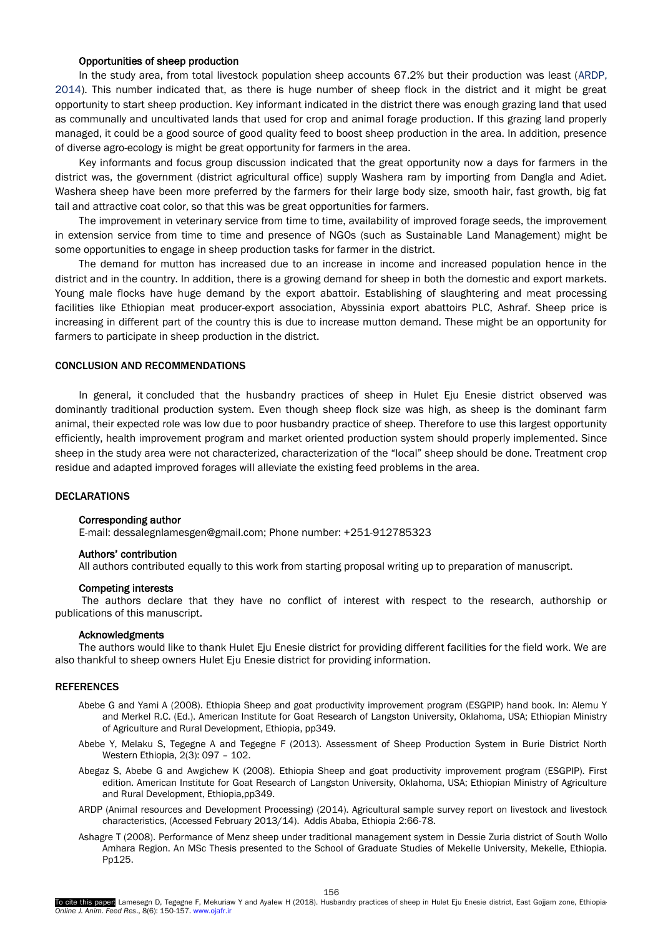#### Opportunities of sheep production

In the study area, from total livestock population sheep accounts 67.2% but their production was least (ARDP, 2014). This number indicated that, as there is huge number of sheep flock in the district and it might be great opportunity to start sheep production. Key informant indicated in the district there was enough grazing land that used as communally and uncultivated lands that used for crop and animal forage production. If this grazing land properly managed, it could be a good source of good quality feed to boost sheep production in the area. In addition, presence of diverse agro-ecology is might be great opportunity for farmers in the area.

Key informants and focus group discussion indicated that the great opportunity now a days for farmers in the district was, the government (district agricultural office) supply Washera ram by importing from Dangla and Adiet. Washera sheep have been more preferred by the farmers for their large body size, smooth hair, fast growth, big fat tail and attractive coat color, so that this was be great opportunities for farmers.

The improvement in veterinary service from time to time, availability of improved forage seeds, the improvement in extension service from time to time and presence of NGOs (such as Sustainable Land Management) might be some opportunities to engage in sheep production tasks for farmer in the district.

The demand for mutton has increased due to an increase in income and increased population hence in the district and in the country. In addition, there is a growing demand for sheep in both the domestic and export markets. Young male flocks have huge demand by the export abattoir. Establishing of slaughtering and meat processing facilities like Ethiopian meat producer-export association, Abyssinia export abattoirs PLC, Ashraf. Sheep price is increasing in different part of the country this is due to increase mutton demand. These might be an opportunity for farmers to participate in sheep production in the district.

# CONCLUSION AND RECOMMENDATIONS

In general, it concluded that the husbandry practices of sheep in Hulet Eju Enesie district observed was dominantly traditional production system. Even though sheep flock size was high, as sheep is the dominant farm animal, their expected role was low due to poor husbandry practice of sheep. Therefore to use this largest opportunity efficiently, health improvement program and market oriented production system should properly implemented. Since sheep in the study area were not characterized, characterization of the "local" sheep should be done. Treatment crop residue and adapted improved forages will alleviate the existing feed problems in the area.

# DECLARATIONS

### Corresponding author

E-mail: dessalegnlamesgen@gmail.com; Phone number: +251-912785323

#### Authors' contribution

All authors contributed equally to this work from starting proposal writing up to preparation of manuscript.

#### Competing interests

The authors declare that they have no conflict of interest with respect to the research, authorship or publications of this manuscript.

#### Acknowledgments

The authors would like to thank Hulet Eju Enesie district for providing different facilities for the field work. We are also thankful to sheep owners Hulet Eju Enesie district for providing information.

# **REFERENCES**

- Abebe G and Yami A (2008). Ethiopia Sheep and goat productivity improvement program (ESGPIP) hand book. In: Alemu Y and Merkel R.C. (Ed.). American Institute for Goat Research of Langston University, Oklahoma, USA; Ethiopian Ministry of Agriculture and Rural Development, Ethiopia, pp349.
- Abebe Y, Melaku S, Tegegne A and Tegegne F (2013). Assessment of Sheep Production System in Burie District North Western Ethiopia, 2(3): 097 – 102.
- Abegaz S, Abebe G and Awgichew K (2008). Ethiopia Sheep and goat productivity improvement program (ESGPIP). First edition. American Institute for Goat Research of Langston University, Oklahoma, USA; Ethiopian Ministry of Agriculture and Rural Development, Ethiopia,pp349.
- ARDP (Animal resources and Development Processing) (2014). Agricultural sample survey report on livestock and livestock characteristics, (Accessed February 2013/14). Addis Ababa, Ethiopia 2:66-78.
- Ashagre T (2008). Performance of Menz sheep under traditional management system in Dessie Zuria district of South Wollo Amhara Region. An MSc Thesis presented to the School of Graduate Studies of Mekelle University, Mekelle, Ethiopia. Pp125.